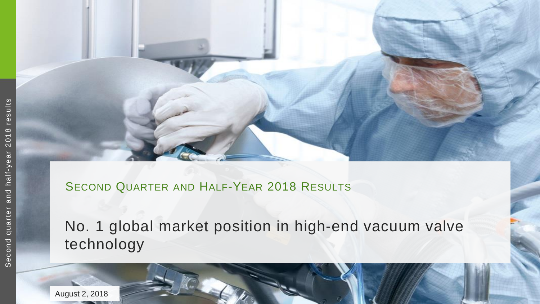

#### SECOND QUARTER AND HALF-YEAR 2018 RESULTS

## No. 1 global market position in high-end vacuum valve technology

August 2, 2018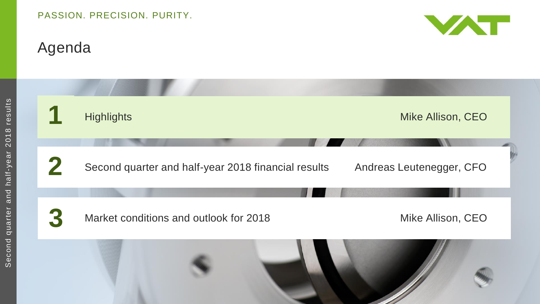# Agenda

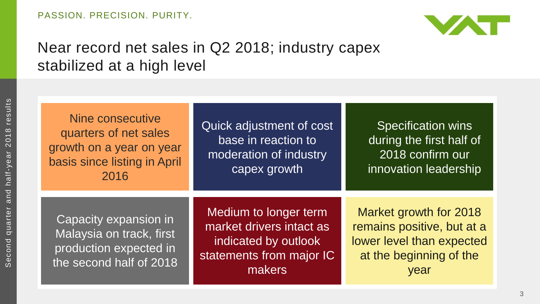

### Near record net sales in Q2 2018; industry capex stabilized at a high level

Nine consecutive quarters of net sales growth on a year on year basis since listing in April 2016

Quick adjustment of cost base in reaction to moderation of industry capex growth

 Specification wins during the first half of 2018 confirm our innovation leadership

Capacity expansion in Malaysia on track, first production expected in the second half of 2018

Medium to longer term market drivers intact as indicated by outlook statements from major IC makers

Market growth for 2018 remains positive, but at a lower level than expected at the beginning of the year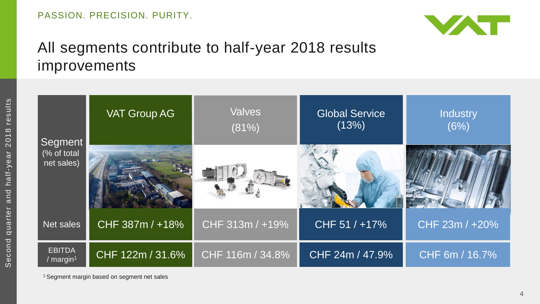

## All segments contribute to half-year 2018 results improvements

|                                      | <b>VAT Group AG</b> | <b>Valves</b><br>(81%) | <b>Global Service</b><br>(13%) | Industry<br>(6%) |
|--------------------------------------|---------------------|------------------------|--------------------------------|------------------|
| Segment<br>(% of total<br>net sales) |                     |                        |                                |                  |
| Net sales                            | CHF 387m / +18%     | CHF 313m / +19%        | CHF 51 / +17%                  | CHF 23m / +20%   |
| <b>EBITDA</b><br>/ $margin1$         | CHF 122m / 31.6%    | CHF 116m / 34.8%       | CHF 24m / 47.9%                | CHF 6m / 16.7%   |

<sup>&</sup>lt;sup>1</sup> Segment margin based on segment net sales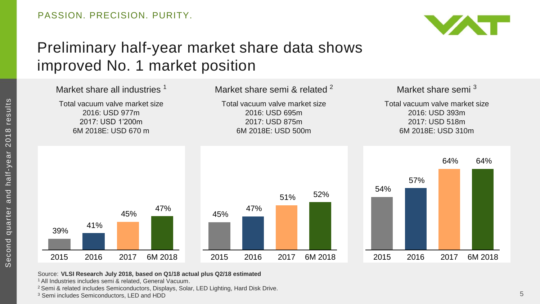

## Preliminary half-year market share data shows improved No. 1 market position



Source: **VLSI Research July 2018, based on Q1/18 actual plus Q2/18 estimated** 

<sup>1</sup>All Industries includes semi & related, General Vacuum.

<sup>2</sup> Semi & related includes Semiconductors, Displays, Solar, LED Lighting, Hard Disk Drive.

<sup>3</sup> Semi includes Semiconductors, LED and HDD

Second quarter and half-year 2018 results

Second quarter and half-year

2018 results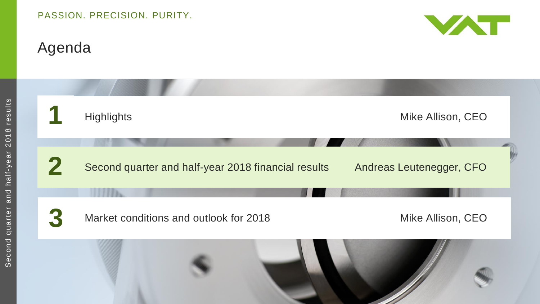# Agenda



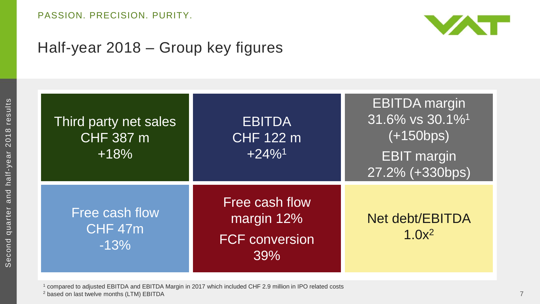

#### Half-year 2018 – Group key figures

| Third party net sales<br><b>CHF 387 m</b><br>$+18%$ | <b>EBITDA</b><br><b>CHF 122 m</b><br>$+24\%$ <sup>1</sup>    | <b>EBITDA</b> margin<br>31.6% vs 30.1% <sup>1</sup><br>$(+150bps)$<br><b>EBIT</b> margin<br>27.2% (+330bps) |
|-----------------------------------------------------|--------------------------------------------------------------|-------------------------------------------------------------------------------------------------------------|
| Free cash flow<br>CHF 47m<br>$-13%$                 | Free cash flow<br>margin 12%<br><b>FCF conversion</b><br>39% | <b>Net debt/EBITDA</b><br>$1.0x^2$                                                                          |

<sup>1</sup> compared to adjusted EBITDA and EBITDA Margin in 2017 which included CHF 2.9 million in IPO related costs <sup>2</sup> based on last twelve months (LTM) EBITDA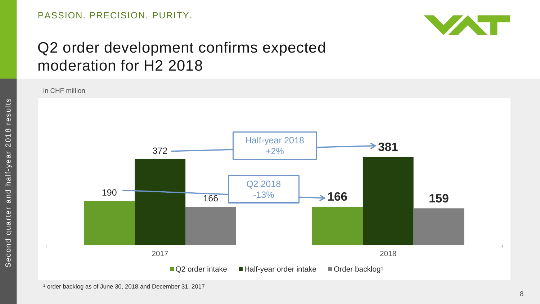

### Q2 order development confirms expected moderation for H2 2018

in CHF million

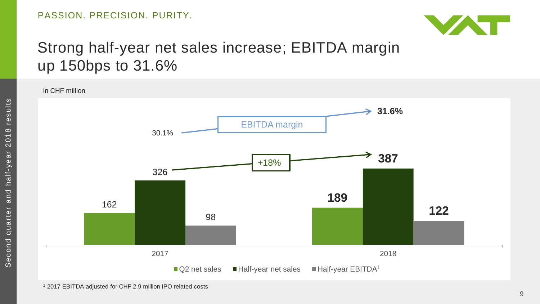

### Strong half -year net sales increase; EBITDA margin up 150bps to 31.6%

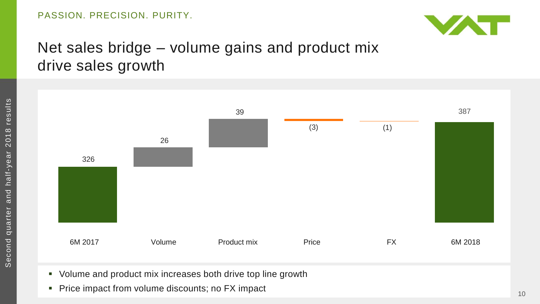

### Net sales bridge – volume gains and product mix drive sales growth



- Volume and product mix increases both drive top line growth
- Price impact from volume discounts; no FX impact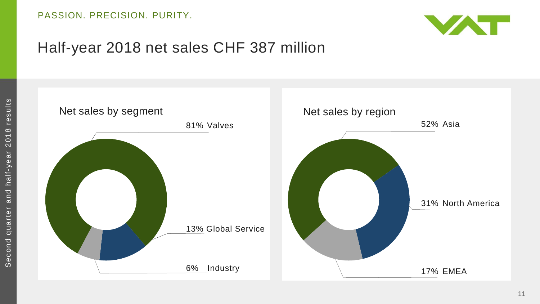

#### Half-year 2018 net sales CHF 387 million

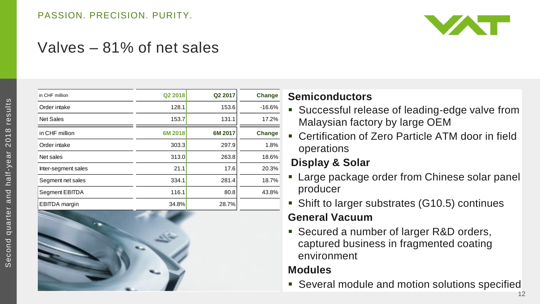

#### Valves – 81% of net sales

| in CHF million       | Q2 2018 | Q2 2017 | Change   |
|----------------------|---------|---------|----------|
| Order intake         | 128.1   | 153.6   | $-16.6%$ |
| <b>Net Sales</b>     | 153.7   | 131.1   | 17.2%    |
| in CHF million       | 6M 2018 | 6M 2017 | Change   |
| Order intake         | 303.3   | 297.9   | 1.8%     |
| Net sales            | 313.0   | 263.8   | 18.6%    |
| Inter-segment sales  | 21.1    | 17.6    | 20.3%    |
| Segment net sales    | 334.1   | 281.4   | 18.7%    |
| Segment EBITDA       | 116.1   | 80.8    | 43.8%    |
| <b>EBITDA</b> margin | 34.8%   | 28.7%   |          |



#### **Semiconductors**

- Successful release of leading-edge valve from Malaysian factory by large OEM
- Certification of Zero Particle ATM door in field operations

#### **Display & Solar**

- **Large package order from Chinese solar panel** producer
- Shift to larger substrates (G10.5) continues **General Vacuum**
- Secured a number of larger R&D orders, captured business in fragmented coating environment

#### **Modules**

Several module and motion solutions specified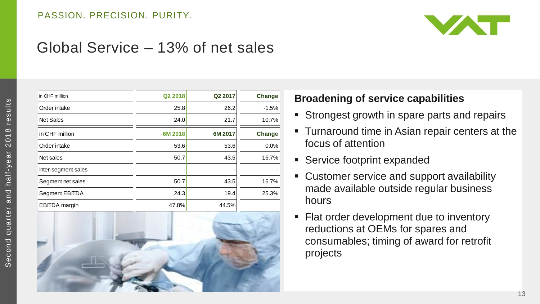

#### Global Service – 13% of net sales

| in CHF million       | Q2 2018 | Q2 2017 | Change  | <b>Broadenii</b>                                 |
|----------------------|---------|---------|---------|--------------------------------------------------|
| Order intake         | 25.8    | 26.2    | $-1.5%$ |                                                  |
| <b>Net Sales</b>     | 24.0    | 21.7    | 10.7%   | <b>Stronge</b><br>п                              |
| in CHF million       | 6M 2018 | 6M 2017 | Change  | ■ Turnaro                                        |
| Order intake         | 53.6    | 53.6    | 0.0%    | focus of                                         |
| Net sales            | 50.7    | 43.5    | 16.7%   | <b>Service</b><br>a.                             |
| Inter-segment sales  |         |         |         |                                                  |
| Segment net sales    | 50.7    | 43.5    | 16.7%   | Custom<br>п                                      |
| Segment EBITDA       | 24.3    | 19.4    | 25.3%   | made av                                          |
| <b>EBITDA</b> margin | 47.8%   | 44.5%   |         | hours                                            |
|                      |         |         |         | Flat ord<br>m.<br>reductio<br>consum<br>projects |



#### **Broadening of service capabilities**

- **Strongest growth in spare parts and repairs**
- Turnaround time in Asian repair centers at the focus of attention
- **Service footprint expanded**
- Customer service and support availability made available outside regular business hours
- **Flat order development due to inventory** reductions at OEMs for spares and consumables; timing of award for retrofit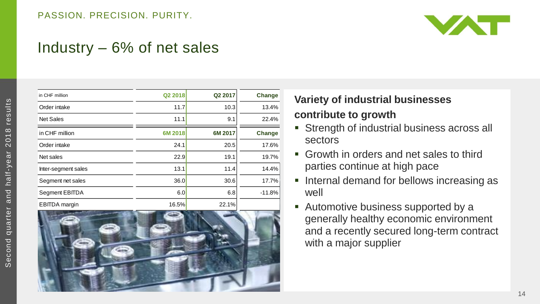

#### Industry – 6% of net sales

| in CHF million       | Q2 2018 | Q2 2017 | Change   |
|----------------------|---------|---------|----------|
| Order intake         | 11.7    | 10.3    | 13.4%    |
| <b>Net Sales</b>     | 11.1    | 9.1     | 22.4%    |
| in CHF million       | 6M 2018 | 6M 2017 | Change   |
| Order intake         | 24.1    | 20.5    | 17.6%    |
| Net sales            | 22.9    | 19.1    | 19.7%    |
| Inter-segment sales  | 13.1    | 11.4    | 14.4%    |
| Segment net sales    | 36.0    | 30.6    | 17.7%    |
| Segment EBITDA       | 6.0     | 6.8     | $-11.8%$ |
| <b>EBITDA</b> margin | 16.5%   | 22.1%   |          |



#### **Variety of industrial businesses contribute to growth**

- **Strength of industrial business across all** sectors
- Growth in orders and net sales to third parties continue at high pace
- **Internal demand for bellows increasing as** well
- **Automotive business supported by a** generally healthy economic environment and a recently secured long-term contract with a major supplier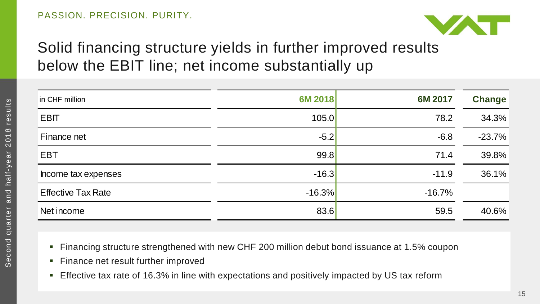

## Solid financing structure yields in further improved results below the EBIT line; net income substantially up

| in CHF million            | 6M 2018  | 6M 2017  | <b>Change</b> |
|---------------------------|----------|----------|---------------|
| EBIT                      | 105.0    | 78.2     | 34.3%         |
| Finance net               | $-5.2$   | $-6.8$   | $-23.7%$      |
| <b>EBT</b>                | 99.8     | 71.4     | 39.8%         |
| Income tax expenses       | $-16.3$  | $-11.9$  | 36.1%         |
| <b>Effective Tax Rate</b> | $-16.3%$ | $-16.7%$ |               |
| Net income                | 83.6     | 59.5     | 40.6%         |

- Financing structure strengthened with new CHF 200 million debut bond issuance at 1.5% coupon
- **Finance net result further improved**
- **Effective tax rate of 16.3% in line with expectations and positively impacted by US tax reform**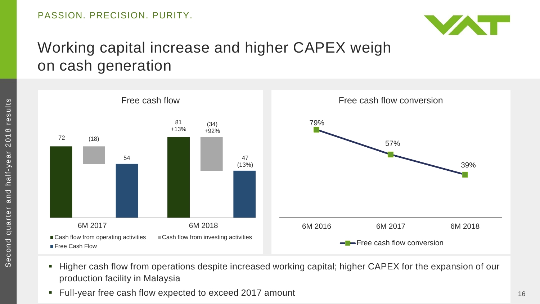

## Working capital increase and higher CAPEX weigh on cash generation



- Higher cash flow from operations despite increased working capital; higher CAPEX for the expansion of our production facility in Malaysia
- Full-year free cash flow expected to exceed 2017 amount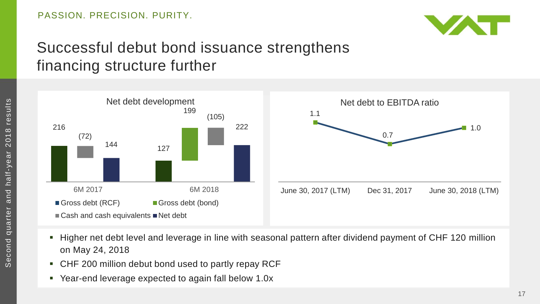

## Successful debut bond issuance strengthens financing structure further



- Higher net debt level and leverage in line with seasonal pattern after dividend payment of CHF 120 million on May 24, 2018
- CHF 200 million debut bond used to partly repay RCF
- Year-end leverage expected to again fall below 1.0x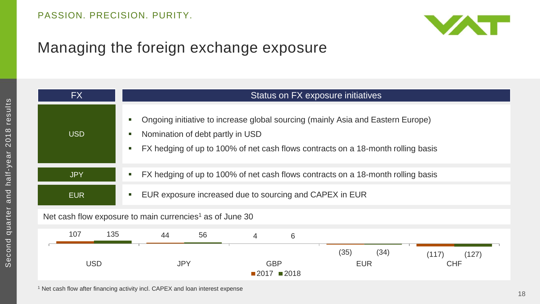

## Managing the foreign exchange exposure

| FX                                                                   | Status on FX exposure initiatives                                                                                                                                                                            |  |  |  |
|----------------------------------------------------------------------|--------------------------------------------------------------------------------------------------------------------------------------------------------------------------------------------------------------|--|--|--|
| <b>USD</b>                                                           | Ongoing initiative to increase global sourcing (mainly Asia and Eastern Europe)<br>Nomination of debt partly in USD<br>FX hedging of up to 100% of net cash flows contracts on a 18-month rolling basis<br>г |  |  |  |
| <b>JPY</b>                                                           | FX hedging of up to 100% of net cash flows contracts on a 18-month rolling basis<br>п                                                                                                                        |  |  |  |
| <b>EUR</b>                                                           | EUR exposure increased due to sourcing and CAPEX in EUR                                                                                                                                                      |  |  |  |
| Net cash flow exposure to main currencies <sup>1</sup> as of June 30 |                                                                                                                                                                                                              |  |  |  |
| 107<br>135                                                           | 56<br>44<br>6<br>$\overline{4}$                                                                                                                                                                              |  |  |  |
| <b>USD</b>                                                           | (35)<br>(34)<br>(117)<br>(127)<br><b>JPY</b><br><b>GBP</b><br><b>CHF</b><br><b>EUR</b><br>$\blacksquare$ 2017 $\blacksquare$ 2018                                                                            |  |  |  |

<sup>1</sup> Net cash flow after financing activity incl. CAPEX and loan interest expense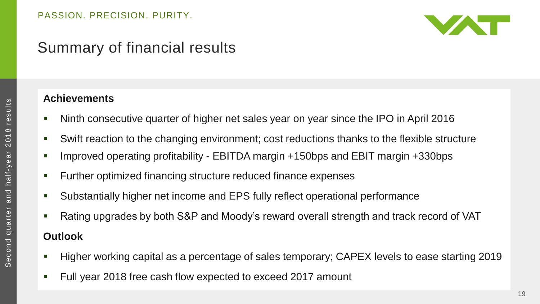

## Summary of financial results

#### **Achievements**

- Ninth consecutive quarter of higher net sales year on year since the IPO in April 2016
- Swift reaction to the changing environment; cost reductions thanks to the flexible structure
- Improved operating profitability EBITDA margin +150bps and EBIT margin +330bps
- Further optimized financing structure reduced finance expenses
- Substantially higher net income and EPS fully reflect operational performance
- Rating upgrades by both S&P and Moody's reward overall strength and track record of VAT

#### **Outlook**

- Higher working capital as a percentage of sales temporary; CAPEX levels to ease starting 2019
- Full year 2018 free cash flow expected to exceed 2017 amount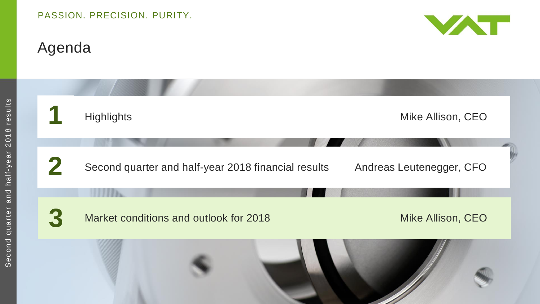# Agenda



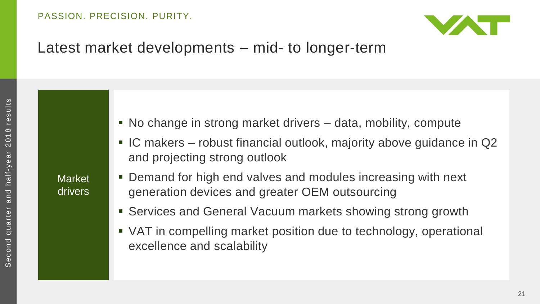

#### Latest market developments – mid- to longer-term

**Market** drivers

- No change in strong market drivers data, mobility, compute
- IC makers robust financial outlook, majority above guidance in Q2 and projecting strong outlook
- Demand for high end valves and modules increasing with next generation devices and greater OEM outsourcing
- Services and General Vacuum markets showing strong growth
- VAT in compelling market position due to technology, operational excellence and scalability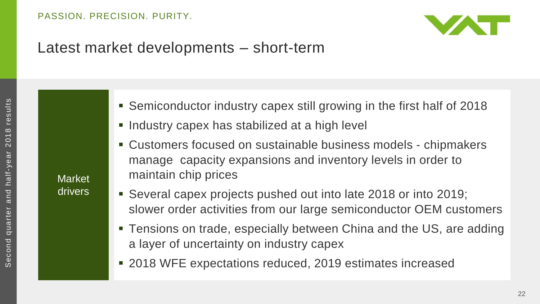

#### Latest market developments – short-term

**Market** drivers

- Semiconductor industry capex still growing in the first half of 2018
- **Industry capex has stabilized at a high level**
- Customers focused on sustainable business models chipmakers manage capacity expansions and inventory levels in order to maintain chip prices
- Several capex projects pushed out into late 2018 or into 2019; slower order activities from our large semiconductor OEM customers
- Tensions on trade, especially between China and the US, are adding a layer of uncertainty on industry capex
- 2018 WFE expectations reduced, 2019 estimates increased

22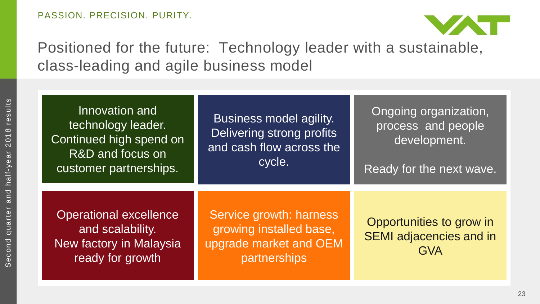

Positioned for the future: Technology leader with a sustainable, class-leading and agile business model

| Innovation and<br>technology leader.<br>Continued high spend on<br>R&D and focus on<br>customer partnerships. | Business model agility.<br>Delivering strong profits<br>and cash flow across the<br>cycle.   | Ongoing organization,<br>process and people<br>development.<br>Ready for the next wave. |
|---------------------------------------------------------------------------------------------------------------|----------------------------------------------------------------------------------------------|-----------------------------------------------------------------------------------------|
| <b>Operational excellence</b><br>and scalability.<br>New factory in Malaysia<br>ready for growth              | Service growth: harness<br>growing installed base,<br>upgrade market and OEM<br>partnerships | Opportunities to grow in<br><b>SEMI</b> adjacencies and in<br><b>GVA</b>                |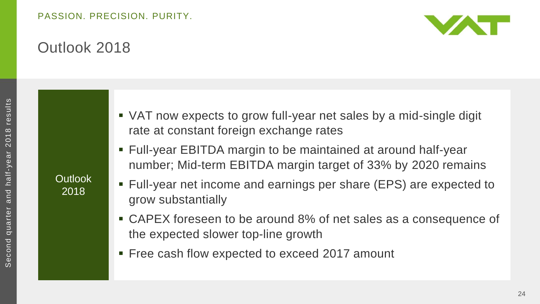

### Outlook 2018

**Outlook** 2018

 VAT now expects to grow full-year net sales by a mid-single digit rate at constant foreign exchange rates

- Full-year EBITDA margin to be maintained at around half-year number; Mid-term EBITDA margin target of 33% by 2020 remains
- Full-year net income and earnings per share (EPS) are expected to grow substantially
- CAPEX foreseen to be around 8% of net sales as a consequence of the expected slower top-line growth
- **Free cash flow expected to exceed 2017 amount**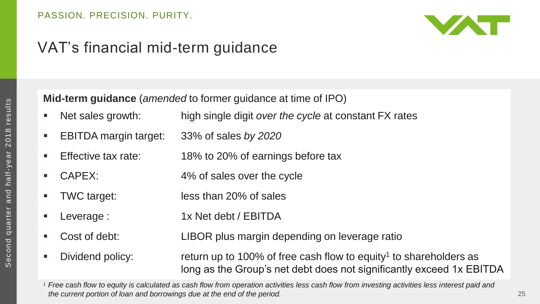

## VAT's financial mid-term guidance

**Mid-term guidance** (*amended* to former guidance at time of IPO)

- Net sales growth: high single digit *over the cycle* at constant FX rates
- EBITDA margin target: 33% of sales *by 2020*
- Effective tax rate: 18% to 20% of earnings before tax
- CAPEX: 4% of sales over the cycle
- TWC target: less than 20% of sales
- Leverage : 1x Net debt / EBITDA
- Cost of debt: LIBOR plus margin depending on leverage ratio
- 
- Dividend policy: return up to 100% of free cash flow to equity<sup>1</sup> to shareholders as long as the Group's net debt does not significantly exceed 1x EBITDA

<sup>1</sup>*Free cash flow to equity is calculated as cash flow from operation activities less cash flow from investing activities less interest paid and the current portion of loan and borrowings due at the end of the period.*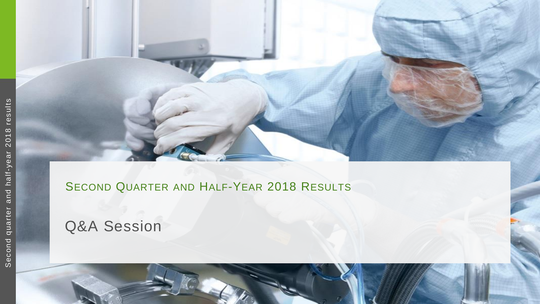

#### HALF - YEAR 2018 RESULTS

Q&A Session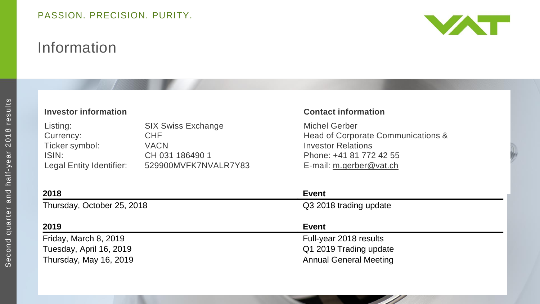## Information



#### **Investor information Contact information**

| Listing:                 | <b>SIX Swiss Exchange</b> |
|--------------------------|---------------------------|
| Currency:                | <b>CHF</b>                |
| Ticker symbol:           | <b>VACN</b>               |
| ISIN:                    | CH 031 186490 1           |
| Legal Entity Identifier: | 529900MVFK7NVALR7Y83      |
|                          |                           |

Michel Gerber Head of Corporate Communications & **Investor Relations** Phone: +41 81 772 42 55 E-mail: [m.gerber@vat.ch](mailto:m.gerber@vat.ch)

| 2018                       | Event                         |  |
|----------------------------|-------------------------------|--|
| Thursday, October 25, 2018 | Q3 2018 trading update        |  |
| 2019                       | Event                         |  |
| Friday, March 8, 2019      | Full-year 2018 results        |  |
| Tuesday, April 16, 2019    | Q1 2019 Trading update        |  |
| Thursday, May 16, 2019     | <b>Annual General Meeting</b> |  |
|                            |                               |  |